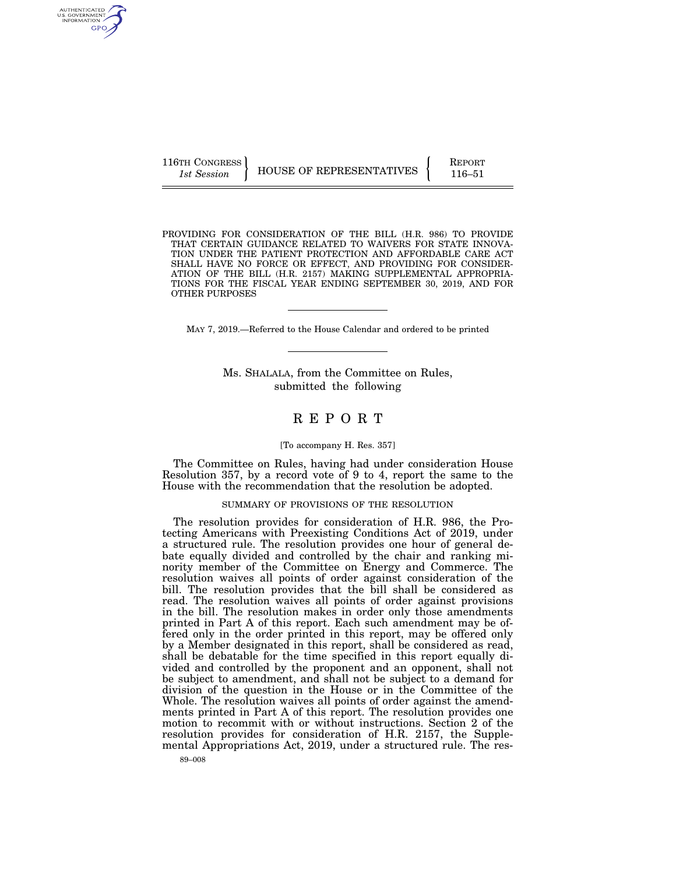116TH CONGRESS **REPORT 116TH CONGRESS** HOUSE OF REPRESENTATIVES **FUNC** 

PROVIDING FOR CONSIDERATION OF THE BILL (H.R. 986) TO PROVIDE THAT CERTAIN GUIDANCE RELATED TO WAIVERS FOR STATE INNOVA-TION UNDER THE PATIENT PROTECTION AND AFFORDABLE CARE ACT SHALL HAVE NO FORCE OR EFFECT, AND PROVIDING FOR CONSIDER-ATION OF THE BILL (H.R. 2157) MAKING SUPPLEMENTAL APPROPRIA-TIONS FOR THE FISCAL YEAR ENDING SEPTEMBER 30, 2019, AND FOR OTHER PURPOSES

MAY 7, 2019.—Referred to the House Calendar and ordered to be printed

Ms. SHALALA, from the Committee on Rules, submitted the following

# R E P O R T

#### [To accompany H. Res. 357]

The Committee on Rules, having had under consideration House Resolution 357, by a record vote of 9 to 4, report the same to the House with the recommendation that the resolution be adopted.

# SUMMARY OF PROVISIONS OF THE RESOLUTION

The resolution provides for consideration of H.R. 986, the Protecting Americans with Preexisting Conditions Act of 2019, under a structured rule. The resolution provides one hour of general debate equally divided and controlled by the chair and ranking minority member of the Committee on Energy and Commerce. The resolution waives all points of order against consideration of the bill. The resolution provides that the bill shall be considered as read. The resolution waives all points of order against provisions in the bill. The resolution makes in order only those amendments printed in Part A of this report. Each such amendment may be offered only in the order printed in this report, may be offered only by a Member designated in this report, shall be considered as read, shall be debatable for the time specified in this report equally divided and controlled by the proponent and an opponent, shall not be subject to amendment, and shall not be subject to a demand for division of the question in the House or in the Committee of the Whole. The resolution waives all points of order against the amendments printed in Part A of this report. The resolution provides one motion to recommit with or without instructions. Section 2 of the resolution provides for consideration of H.R. 2157, the Supplemental Appropriations Act, 2019, under a structured rule. The res-

AUTHENTICATED<br>U.S. GOVERNMENT<br>INFORMATION GPO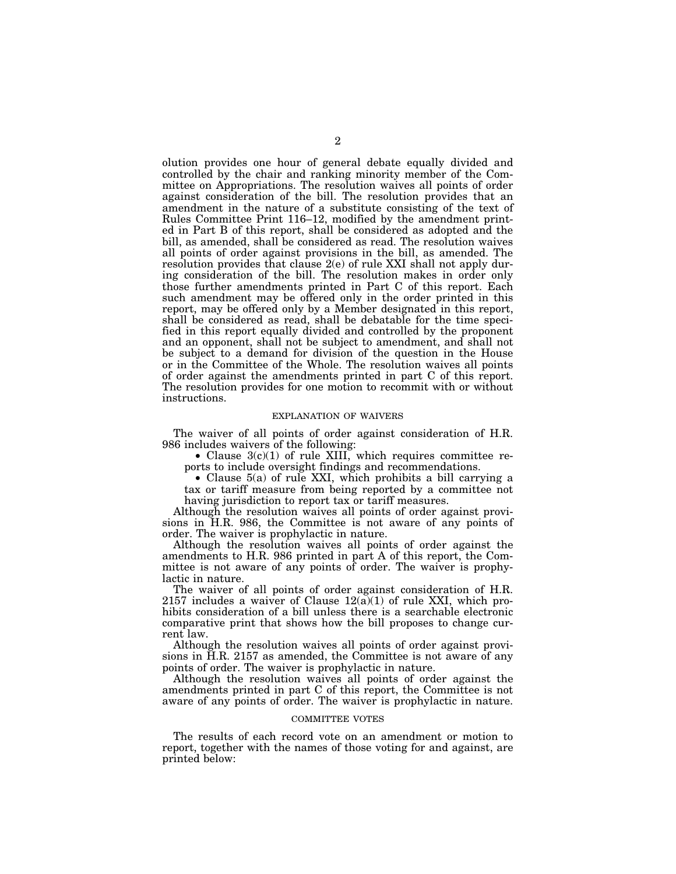olution provides one hour of general debate equally divided and controlled by the chair and ranking minority member of the Committee on Appropriations. The resolution waives all points of order against consideration of the bill. The resolution provides that an amendment in the nature of a substitute consisting of the text of Rules Committee Print 116–12, modified by the amendment printed in Part B of this report, shall be considered as adopted and the bill, as amended, shall be considered as read. The resolution waives all points of order against provisions in the bill, as amended. The resolution provides that clause 2(e) of rule XXI shall not apply during consideration of the bill. The resolution makes in order only those further amendments printed in Part C of this report. Each such amendment may be offered only in the order printed in this report, may be offered only by a Member designated in this report, shall be considered as read, shall be debatable for the time specified in this report equally divided and controlled by the proponent and an opponent, shall not be subject to amendment, and shall not be subject to a demand for division of the question in the House or in the Committee of the Whole. The resolution waives all points of order against the amendments printed in part C of this report. The resolution provides for one motion to recommit with or without instructions.

#### EXPLANATION OF WAIVERS

The waiver of all points of order against consideration of H.R. 986 includes waivers of the following:

• Clause  $3(c)(1)$  of rule XIII, which requires committee reports to include oversight findings and recommendations.

• Clause 5(a) of rule XXI, which prohibits a bill carrying a tax or tariff measure from being reported by a committee not having jurisdiction to report tax or tariff measures.

Although the resolution waives all points of order against provisions in H.R. 986, the Committee is not aware of any points of order. The waiver is prophylactic in nature.

Although the resolution waives all points of order against the amendments to H.R. 986 printed in part A of this report, the Committee is not aware of any points of order. The waiver is prophylactic in nature.

The waiver of all points of order against consideration of H.R. 2157 includes a waiver of Clause  $12(\bar{a})(1)$  of rule XXI, which prohibits consideration of a bill unless there is a searchable electronic comparative print that shows how the bill proposes to change current law.

Although the resolution waives all points of order against provisions in H.R. 2157 as amended, the Committee is not aware of any points of order. The waiver is prophylactic in nature.

Although the resolution waives all points of order against the amendments printed in part C of this report, the Committee is not aware of any points of order. The waiver is prophylactic in nature.

#### COMMITTEE VOTES

The results of each record vote on an amendment or motion to report, together with the names of those voting for and against, are printed below: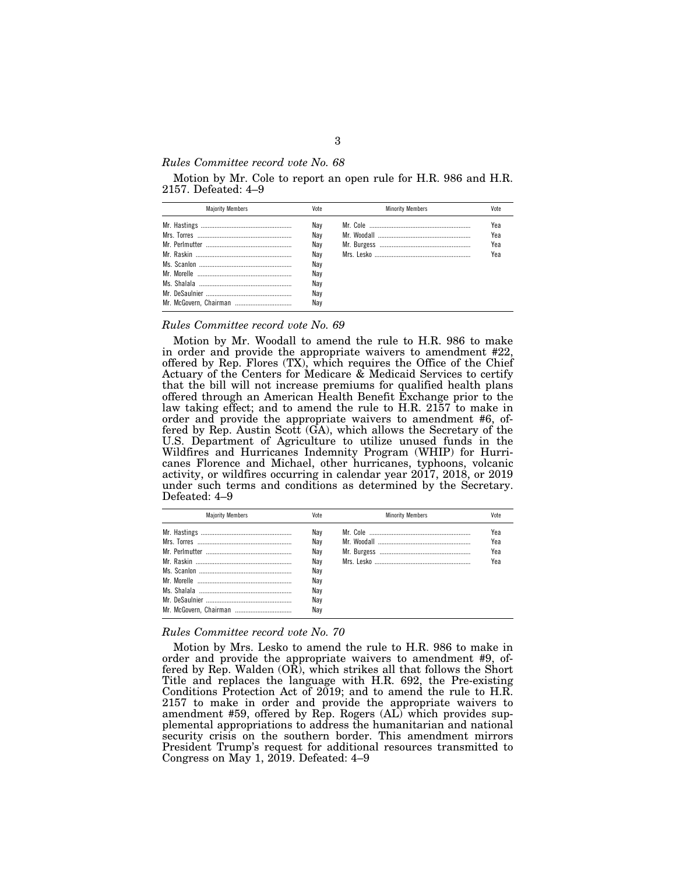# *Rules Committee record vote No. 68*

Motion by Mr. Cole to report an open rule for H.R. 986 and H.R. 2157. Defeated: 4–9

| <b>Maiority Members</b> | Vote | <b>Minority Members</b> | Vote |
|-------------------------|------|-------------------------|------|
|                         | Nav  |                         | Yea  |
|                         | Nav  |                         | Yea  |
|                         | Nav  |                         | Yea  |
|                         | Nav  |                         | Yea  |
|                         | Nav  |                         |      |
|                         | Nav  |                         |      |
|                         | Nav  |                         |      |
|                         | Nav  |                         |      |
|                         | Nav  |                         |      |

# *Rules Committee record vote No. 69*

Motion by Mr. Woodall to amend the rule to H.R. 986 to make in order and provide the appropriate waivers to amendment #22, offered by Rep. Flores (TX), which requires the Office of the Chief Actuary of the Centers for Medicare  $\&$  Medicaid Services to certify that the bill will not increase premiums for qualified health plans offered through an American Health Benefit Exchange prior to the law taking effect; and to amend the rule to H.R. 2157 to make in order and provide the appropriate waivers to amendment #6, offered by Rep. Austin Scott (GA), which allows the Secretary of the U.S. Department of Agriculture to utilize unused funds in the Wildfires and Hurricanes Indemnity Program (WHIP) for Hurricanes Florence and Michael, other hurricanes, typhoons, volcanic activity, or wildfires occurring in calendar year 2017, 2018, or 2019 under such terms and conditions as determined by the Secretary. Defeated: 4–9

| <b>Majority Members</b> | Vote | <b>Minority Members</b> | Vote |
|-------------------------|------|-------------------------|------|
|                         | Nav  |                         | Yea  |
|                         | Nav  |                         | Yea  |
|                         | Nav  |                         | Yea  |
|                         | Nav  |                         | Yea  |
|                         | Nav  |                         |      |
|                         | Nav  |                         |      |
|                         | Nav  |                         |      |
|                         | Nav  |                         |      |
|                         | Nav  |                         |      |

# *Rules Committee record vote No. 70*

Motion by Mrs. Lesko to amend the rule to H.R. 986 to make in order and provide the appropriate waivers to amendment #9, offered by Rep. Walden (OR), which strikes all that follows the Short Title and replaces the language with H.R. 692, the Pre-existing Conditions Protection Act of 2019; and to amend the rule to H.R. 2157 to make in order and provide the appropriate waivers to amendment #59, offered by Rep. Rogers (AL) which provides supplemental appropriations to address the humanitarian and national security crisis on the southern border. This amendment mirrors President Trump's request for additional resources transmitted to Congress on May 1,  $2019$ . Defeated:  $4-9$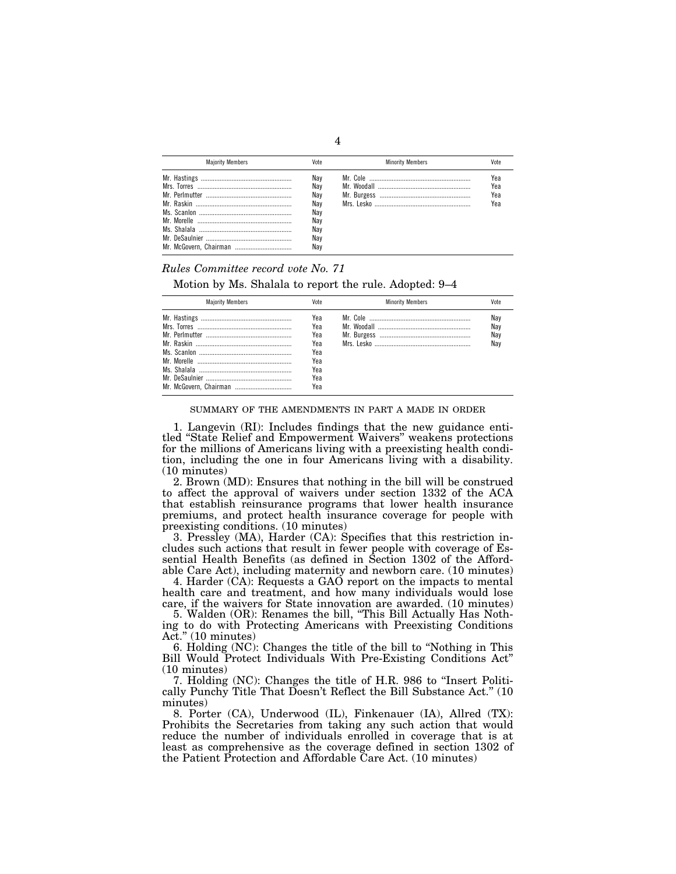| <b>Maiority Members</b> | Vote                                                 | <b>Minority Members</b> |                          |
|-------------------------|------------------------------------------------------|-------------------------|--------------------------|
|                         | Nav<br>Nav<br>Nay<br>Nav<br>Nay<br>Nav<br>Nav<br>Nay |                         | Yea<br>Yea<br>Yea<br>Yea |

*Rules Committee record vote No. 71* 

Motion by Ms. Shalala to report the rule. Adopted: 9–4

| <b>Maiority Members</b> | Vote                                                        | <b>Minority Members</b> |                          |
|-------------------------|-------------------------------------------------------------|-------------------------|--------------------------|
|                         | Yea<br>Yea<br>Yea<br>Yea<br>Yea<br>Yea<br>Yea<br>Yea<br>Yea |                         | Nay<br>Nay<br>Nay<br>Nay |

#### SUMMARY OF THE AMENDMENTS IN PART A MADE IN ORDER

1. Langevin (RI): Includes findings that the new guidance entitled ''State Relief and Empowerment Waivers'' weakens protections for the millions of Americans living with a preexisting health condition, including the one in four Americans living with a disability. (10 minutes)

2. Brown (MD): Ensures that nothing in the bill will be construed to affect the approval of waivers under section 1332 of the ACA that establish reinsurance programs that lower health insurance premiums, and protect health insurance coverage for people with preexisting conditions. (10 minutes)

3. Pressley (MA), Harder (CA): Specifies that this restriction includes such actions that result in fewer people with coverage of Essential Health Benefits (as defined in Section 1302 of the Affordable Care Act), including maternity and newborn care. (10 minutes)

4. Harder (CA): Requests a GAO report on the impacts to mental health care and treatment, and how many individuals would lose care, if the waivers for State innovation are awarded. (10 minutes)

5. Walden (OR): Renames the bill, ''This Bill Actually Has Nothing to do with Protecting Americans with Preexisting Conditions Act.'' (10 minutes)

6. Holding (NC): Changes the title of the bill to ''Nothing in This Bill Would Protect Individuals With Pre-Existing Conditions Act'' (10 minutes)

7. Holding (NC): Changes the title of H.R. 986 to ''Insert Politically Punchy Title That Doesn't Reflect the Bill Substance Act.'' (10 minutes)

8. Porter (CA), Underwood (IL), Finkenauer (IA), Allred (TX): Prohibits the Secretaries from taking any such action that would reduce the number of individuals enrolled in coverage that is at least as comprehensive as the coverage defined in section 1302 of the Patient Protection and Affordable Care Act. (10 minutes)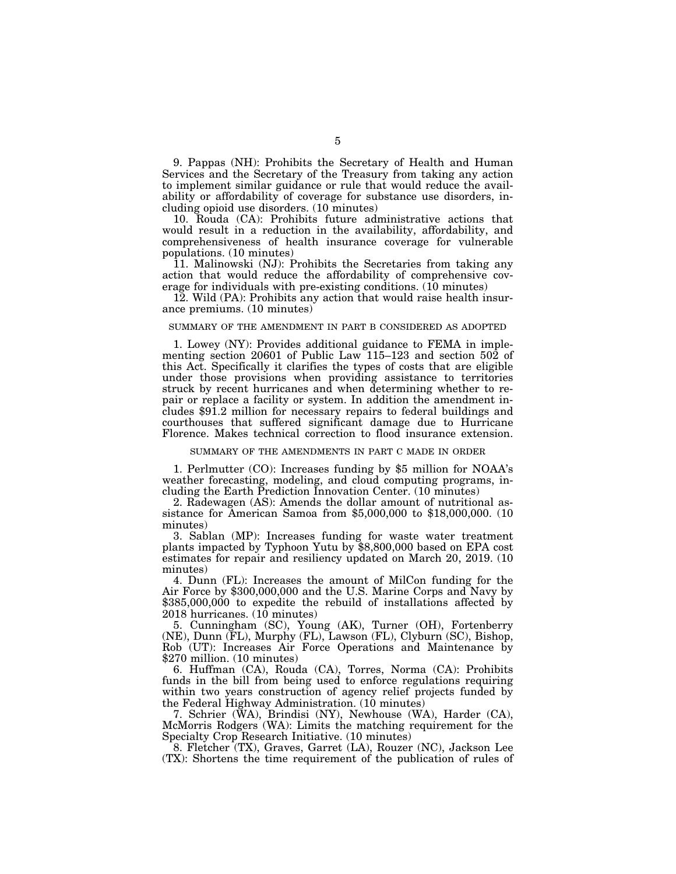9. Pappas (NH): Prohibits the Secretary of Health and Human Services and the Secretary of the Treasury from taking any action to implement similar guidance or rule that would reduce the availability or affordability of coverage for substance use disorders, including opioid use disorders. (10 minutes)

10. Rouda (CA): Prohibits future administrative actions that would result in a reduction in the availability, affordability, and comprehensiveness of health insurance coverage for vulnerable populations. (10 minutes)

11. Malinowski (NJ): Prohibits the Secretaries from taking any action that would reduce the affordability of comprehensive coverage for individuals with pre-existing conditions. (10 minutes)

12. Wild (PA): Prohibits any action that would raise health insurance premiums. (10 minutes)

# SUMMARY OF THE AMENDMENT IN PART B CONSIDERED AS ADOPTED

1. Lowey (NY): Provides additional guidance to FEMA in implementing section 20601 of Public Law 115–123 and section 502 of this Act. Specifically it clarifies the types of costs that are eligible under those provisions when providing assistance to territories struck by recent hurricanes and when determining whether to repair or replace a facility or system. In addition the amendment includes \$91.2 million for necessary repairs to federal buildings and courthouses that suffered significant damage due to Hurricane Florence. Makes technical correction to flood insurance extension.

#### SUMMARY OF THE AMENDMENTS IN PART C MADE IN ORDER

1. Perlmutter (CO): Increases funding by \$5 million for NOAA's weather forecasting, modeling, and cloud computing programs, including the Earth Prediction Innovation Center. (10 minutes)

2. Radewagen (AS): Amends the dollar amount of nutritional assistance for American Samoa from \$5,000,000 to \$18,000,000. (10 minutes)

3. Sablan (MP): Increases funding for waste water treatment plants impacted by Typhoon Yutu by \$8,800,000 based on EPA cost estimates for repair and resiliency updated on March 20, 2019. (10 minutes)

4. Dunn (FL): Increases the amount of MilCon funding for the Air Force by \$300,000,000 and the U.S. Marine Corps and Navy by \$385,000,000 to expedite the rebuild of installations affected by 2018 hurricanes. (10 minutes)

5. Cunningham (SC), Young (AK), Turner (OH), Fortenberry (NE), Dunn (FL), Murphy (FL), Lawson (FL), Clyburn (SC), Bishop, Rob (UT): Increases Air Force Operations and Maintenance by \$270 million. (10 minutes)

6. Huffman (CA), Rouda (CA), Torres, Norma (CA): Prohibits funds in the bill from being used to enforce regulations requiring within two years construction of agency relief projects funded by the Federal Highway Administration. (10 minutes)

7. Schrier (WA), Brindisi (NY), Newhouse (WA), Harder (CA), McMorris Rodgers (WA): Limits the matching requirement for the Specialty Crop Research Initiative. (10 minutes)

8. Fletcher (TX), Graves, Garret (LA), Rouzer (NC), Jackson Lee (TX): Shortens the time requirement of the publication of rules of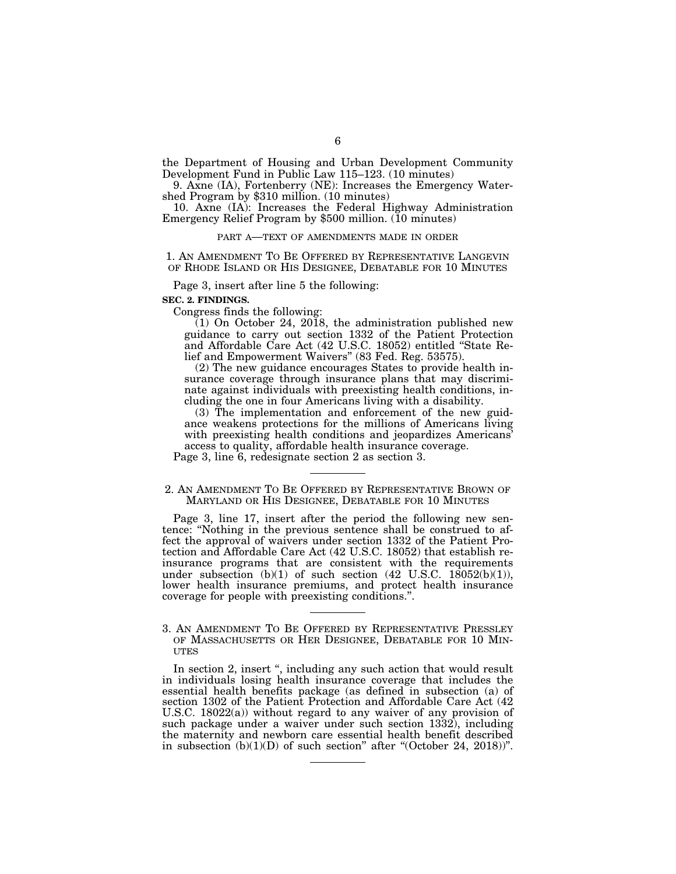the Department of Housing and Urban Development Community Development Fund in Public Law 115–123. (10 minutes)

9. Axne (IA), Fortenberry (NE): Increases the Emergency Watershed Program by \$310 million. (10 minutes)

10. Axne (IA): Increases the Federal Highway Administration Emergency Relief Program by \$500 million. (10 minutes)

PART A—TEXT OF AMENDMENTS MADE IN ORDER

1. AN AMENDMENT TO BE OFFERED BY REPRESENTATIVE LANGEVIN OF RHODE ISLAND OR HIS DESIGNEE, DEBATABLE FOR 10 MINUTES

Page 3, insert after line 5 the following:

#### **SEC. 2. FINDINGS.**

Congress finds the following:

 $(1)$  On October 24, 2018, the administration published new guidance to carry out section 1332 of the Patient Protection and Affordable Care Act (42 U.S.C. 18052) entitled ''State Relief and Empowerment Waivers'' (83 Fed. Reg. 53575).

(2) The new guidance encourages States to provide health insurance coverage through insurance plans that may discriminate against individuals with preexisting health conditions, including the one in four Americans living with a disability.

(3) The implementation and enforcement of the new guidance weakens protections for the millions of Americans living with preexisting health conditions and jeopardizes Americans' access to quality, affordable health insurance coverage.

Page 3, line 6, redesignate section 2 as section 3.

# 2. AN AMENDMENT TO BE OFFERED BY REPRESENTATIVE BROWN OF MARYLAND OR HIS DESIGNEE, DEBATABLE FOR 10 MINUTES

Page 3, line 17, insert after the period the following new sentence: ''Nothing in the previous sentence shall be construed to affect the approval of waivers under section 1332 of the Patient Protection and Affordable Care Act (42 U.S.C. 18052) that establish reinsurance programs that are consistent with the requirements under subsection  $(b)(1)$  of such section  $(42 \text{ U.S.C. } 18052(b)(1)),$ lower health insurance premiums, and protect health insurance coverage for people with preexisting conditions.''.

In section 2, insert ", including any such action that would result in individuals losing health insurance coverage that includes the essential health benefits package (as defined in subsection (a) of section 1302 of the Patient Protection and Affordable Care Act (42 U.S.C. 18022(a)) without regard to any waiver of any provision of such package under a waiver under such section 1332), including the maternity and newborn care essential health benefit described in subsection  $(b)(1)(D)$  of such section" after "(October 24, 2018))".

<sup>3.</sup> AN AMENDMENT TO BE OFFERED BY REPRESENTATIVE PRESSLEY OF MASSACHUSETTS OR HER DESIGNEE, DEBATABLE FOR 10 MIN-UTES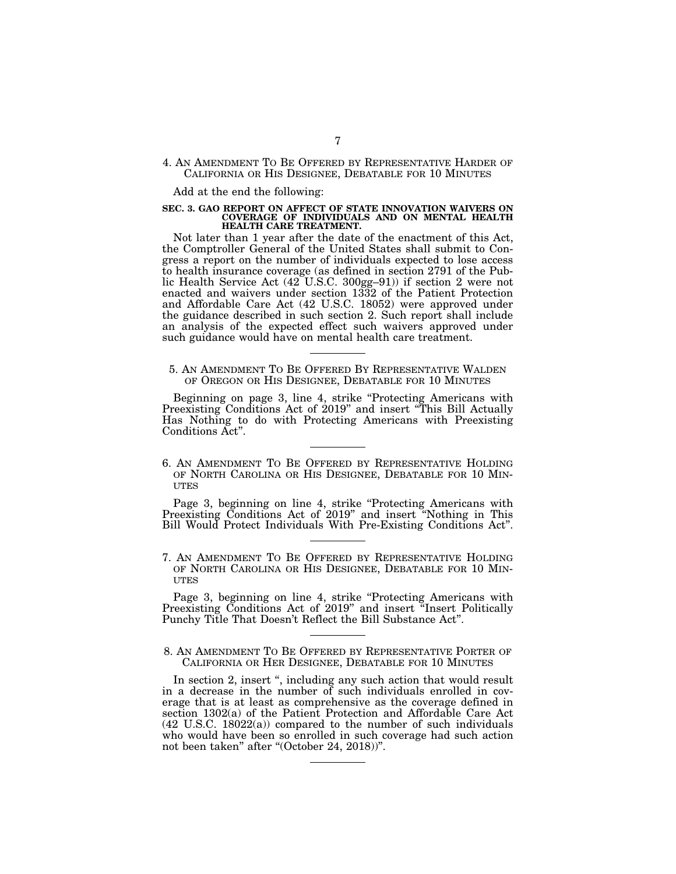4. AN AMENDMENT TO BE OFFERED BY REPRESENTATIVE HARDER OF CALIFORNIA OR HIS DESIGNEE, DEBATABLE FOR 10 MINUTES

Add at the end the following:

#### **SEC. 3. GAO REPORT ON AFFECT OF STATE INNOVATION WAIVERS ON COVERAGE OF INDIVIDUALS AND ON MENTAL HEALTH HEALTH CARE TREATMENT.**

Not later than 1 year after the date of the enactment of this Act, the Comptroller General of the United States shall submit to Congress a report on the number of individuals expected to lose access to health insurance coverage (as defined in section 2791 of the Public Health Service Act (42 U.S.C. 300gg–91)) if section 2 were not enacted and waivers under section 1332 of the Patient Protection and Affordable Care Act (42 U.S.C. 18052) were approved under the guidance described in such section 2. Such report shall include an analysis of the expected effect such waivers approved under such guidance would have on mental health care treatment.

5. AN AMENDMENT TO BE OFFERED BY REPRESENTATIVE WALDEN OF OREGON OR HIS DESIGNEE, DEBATABLE FOR 10 MINUTES

Beginning on page 3, line 4, strike "Protecting Americans with Preexisting Conditions Act of 2019" and insert "This Bill Actually Has Nothing to do with Protecting Americans with Preexisting Conditions Act''.

6. AN AMENDMENT TO BE OFFERED BY REPRESENTATIVE HOLDING OF NORTH CAROLINA OR HIS DESIGNEE, DEBATABLE FOR 10 MIN- UTES

Page 3, beginning on line 4, strike "Protecting Americans with Preexisting Conditions Act of 2019'' and insert ''Nothing in This Bill Would Protect Individuals With Pre-Existing Conditions Act''.

7. AN AMENDMENT TO BE OFFERED BY REPRESENTATIVE HOLDING OF NORTH CAROLINA OR HIS DESIGNEE, DEBATABLE FOR 10 MIN-UTES

Page 3, beginning on line 4, strike "Protecting Americans with Preexisting Conditions Act of 2019" and insert "Insert Politically Punchy Title That Doesn't Reflect the Bill Substance Act''.

In section 2, insert ", including any such action that would result in a decrease in the number of such individuals enrolled in coverage that is at least as comprehensive as the coverage defined in section 1302(a) of the Patient Protection and Affordable Care Act (42 U.S.C. 18022(a)) compared to the number of such individuals who would have been so enrolled in such coverage had such action not been taken" after "(October 24, 2018))".

<sup>8.</sup> AN AMENDMENT TO BE OFFERED BY REPRESENTATIVE PORTER OF CALIFORNIA OR HER DESIGNEE, DEBATABLE FOR 10 MINUTES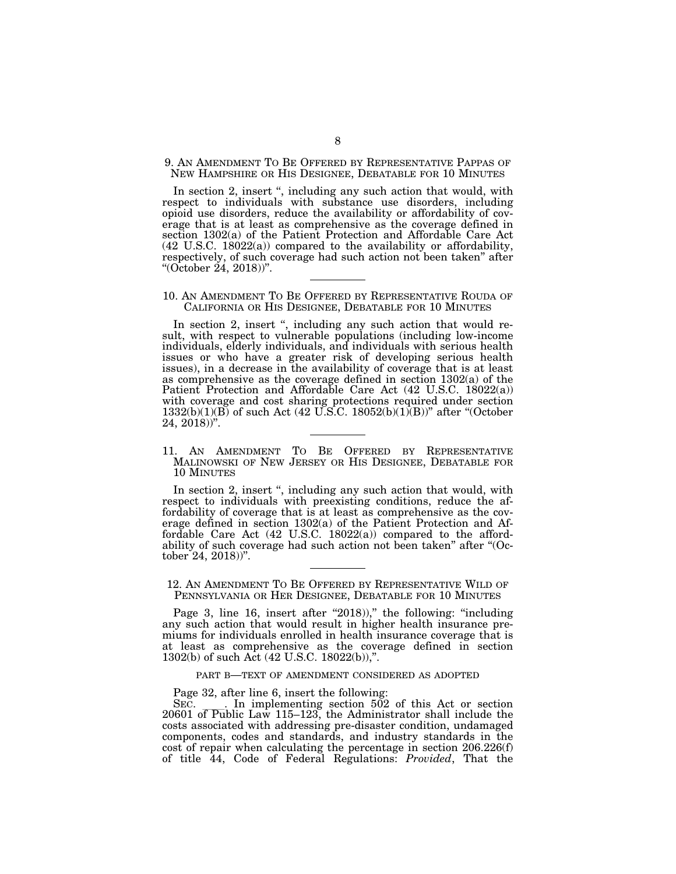9. AN AMENDMENT TO BE OFFERED BY REPRESENTATIVE PAPPAS OF NEW HAMPSHIRE OR HIS DESIGNEE, DEBATABLE FOR 10 MINUTES

In section 2, insert ", including any such action that would, with respect to individuals with substance use disorders, including opioid use disorders, reduce the availability or affordability of coverage that is at least as comprehensive as the coverage defined in section 1302(a) of the Patient Protection and Affordable Care Act (42 U.S.C. 18022(a)) compared to the availability or affordability, respectively, of such coverage had such action not been taken'' after ''(October 24, 2018))''.

### 10. AN AMENDMENT TO BE OFFERED BY REPRESENTATIVE ROUDA OF CALIFORNIA OR HIS DESIGNEE, DEBATABLE FOR 10 MINUTES

In section 2, insert ", including any such action that would result, with respect to vulnerable populations (including low-income individuals, elderly individuals, and individuals with serious health issues or who have a greater risk of developing serious health issues), in a decrease in the availability of coverage that is at least as comprehensive as the coverage defined in section 1302(a) of the Patient Protection and Affordable Care Act (42 U.S.C. 18022(a)) with coverage and cost sharing protections required under section  $1332(b)(1)(B)$  of such Act (42 U.S.C. 18052(b)(1)(B))" after "(October 24, 2018))''.

11. AN AMENDMENT TO BE OFFERED BY REPRESENTATIVE MALINOWSKI OF NEW JERSEY OR HIS DESIGNEE, DEBATABLE FOR 10 MINUTES

In section 2, insert ", including any such action that would, with respect to individuals with preexisting conditions, reduce the affordability of coverage that is at least as comprehensive as the coverage defined in section 1302(a) of the Patient Protection and Affordable Care Act (42 U.S.C. 18022(a)) compared to the affordability of such coverage had such action not been taken'' after ''(October 24, 2018))''.

12. AN AMENDMENT TO BE OFFERED BY REPRESENTATIVE WILD OF PENNSYLVANIA OR HER DESIGNEE, DEBATABLE FOR 10 MINUTES

Page 3, line 16, insert after "2018))," the following: "including any such action that would result in higher health insurance premiums for individuals enrolled in health insurance coverage that is at least as comprehensive as the coverage defined in section 1302(b) of such Act (42 U.S.C. 18022(b)),''.

#### PART B—TEXT OF AMENDMENT CONSIDERED AS ADOPTED

Page 32, after line 6, insert the following:

SEC. Li. In implementing section 502 of this Act or section 20601 of Public Law 115–123, the Administrator shall include the costs associated with addressing pre-disaster condition, undamaged components, codes and standards, and industry standards in the cost of repair when calculating the percentage in section 206.226(f) of title 44, Code of Federal Regulations: *Provided*, That the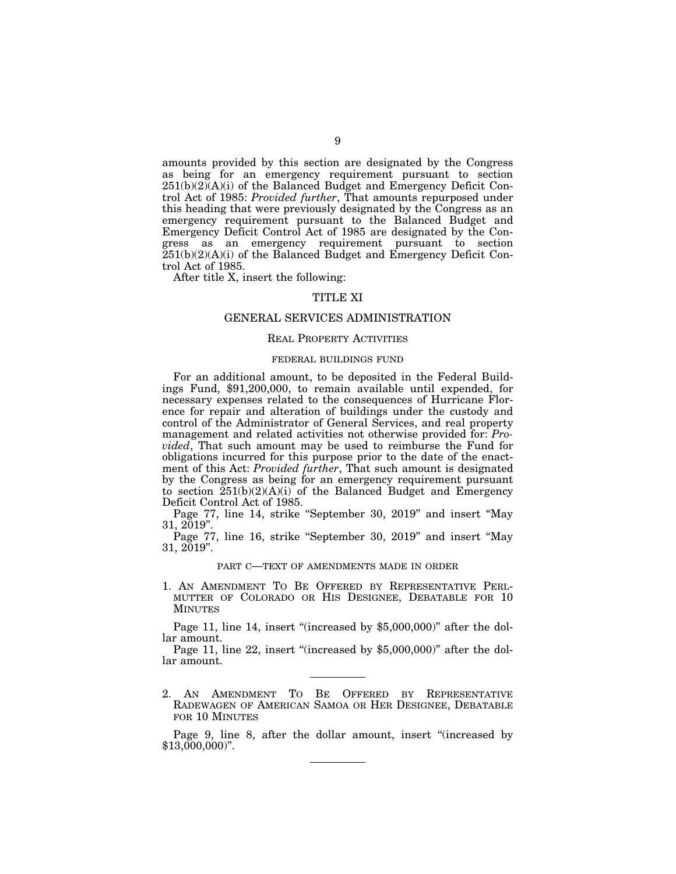amounts provided by this section are designated by the Congress as being for an emergency requirement pursuant to section 251(b)(2)(A)(i) of the Balanced Budget and Emergency Deficit Control Act of 1985: *Provided further*, That amounts repurposed under this heading that were previously designated by the Congress as an emergency requirement pursuant to the Balanced Budget and Emergency Deficit Control Act of 1985 are designated by the Congress as an emergency requirement pursuant to section  $251(b)(2)(A)(i)$  of the Balanced Budget and Emergency Deficit Control Act of 1985.

After title X, insert the following:

# TITLE XI

### GENERAL SERVICES ADMINISTRATION

# REAL PROPERTY ACTIVITIES

#### FEDERAL BUILDINGS FUND

For an additional amount, to be deposited in the Federal Buildings Fund, \$91,200,000, to remain available until expended, for necessary expenses related to the consequences of Hurricane Florence for repair and alteration of buildings under the custody and control of the Administrator of General Services, and real property management and related activities not otherwise provided for: *Provided*, That such amount may be used to reimburse the Fund for obligations incurred for this purpose prior to the date of the enactment of this Act: *Provided further*, That such amount is designated by the Congress as being for an emergency requirement pursuant to section 251(b)(2)(A)(i) of the Balanced Budget and Emergency Deficit Control Act of 1985.

Page 77, line 14, strike "September 30, 2019" and insert "May 31, 2019''.

Page 77, line 16, strike "September 30, 2019" and insert "May 31, 2019''.

## PART C—TEXT OF AMENDMENTS MADE IN ORDER

1. AN AMENDMENT TO BE OFFERED BY REPRESENTATIVE PERL-MUTTER OF COLORADO OR HIS DESIGNEE, DEBATABLE FOR 10 MINUTES

Page 11, line 14, insert "(increased by \$5,000,000)" after the dollar amount.

Page 11, line 22, insert "(increased by \$5,000,000)" after the dollar amount.

2. AN AMENDMENT TO BE OFFERED BY REPRESENTATIVE RADEWAGEN OF AMERICAN SAMOA OR HER DESIGNEE, DEBATABLE FOR 10 MINUTES

Page 9, line 8, after the dollar amount, insert "(increased by  $$13,000,000$ ".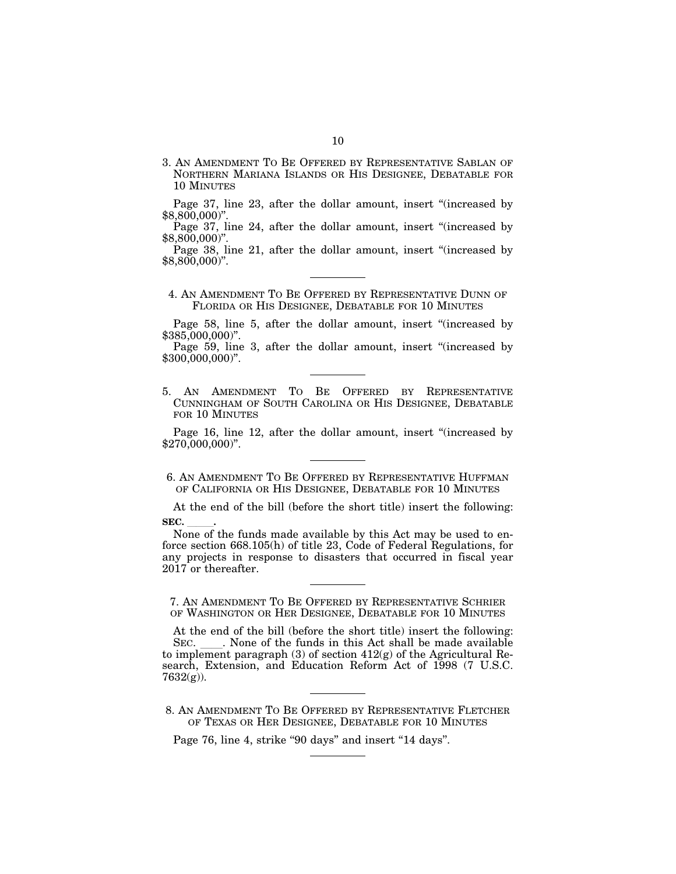3. AN AMENDMENT TO BE OFFERED BY REPRESENTATIVE SABLAN OF NORTHERN MARIANA ISLANDS OR HIS DESIGNEE, DEBATABLE FOR 10 MINUTES

Page 37, line 23, after the dollar amount, insert "(increased by \$8,800,000)''.

Page 37, line 24, after the dollar amount, insert "(increased by  $$8,800,000$ 

Page 38, line 21, after the dollar amount, insert "(increased by \$8,800,000)''.

4. AN AMENDMENT TO BE OFFERED BY REPRESENTATIVE DUNN OF FLORIDA OR HIS DESIGNEE, DEBATABLE FOR 10 MINUTES

Page 58, line 5, after the dollar amount, insert "(increased by \$385,000,000)''.

Page 59, line 3, after the dollar amount, insert "(increased by \$300,000,000)''.

5. AN AMENDMENT TO BE OFFERED BY REPRESENTATIVE CUNNINGHAM OF SOUTH CAROLINA OR HIS DESIGNEE, DEBATABLE FOR 10 MINUTES

Page 16, line 12, after the dollar amount, insert "(increased by \$270,000,000)''.

6. AN AMENDMENT TO BE OFFERED BY REPRESENTATIVE HUFFMAN OF CALIFORNIA OR HIS DESIGNEE, DEBATABLE FOR 10 MINUTES

At the end of the bill (before the short title) insert the following:

**SEC. \_\_\_\_\_.**<br>None of the funds made available by this Act may be used to enforce section 668.105(h) of title 23, Code of Federal Regulations, for any projects in response to disasters that occurred in fiscal year 2017 or thereafter.

7. AN AMENDMENT TO BE OFFERED BY REPRESENTATIVE SCHRIER OF WASHINGTON OR HER DESIGNEE, DEBATABLE FOR 10 MINUTES

At the end of the bill (before the short title) insert the following:<br>SEC. None of the funds in this Act shall be made available SEC.  $\_\_$ . None of the funds in this Act shall be made available to implement paragraph (3) of section 412(g) of the Agricultural Research, Extension, and Education Reform Act of 1998 (7 U.S.C.  $7632(g)$ ).

8. AN AMENDMENT TO BE OFFERED BY REPRESENTATIVE FLETCHER OF TEXAS OR HER DESIGNEE, DEBATABLE FOR 10 MINUTES

Page 76, line 4, strike "90 days" and insert "14 days".